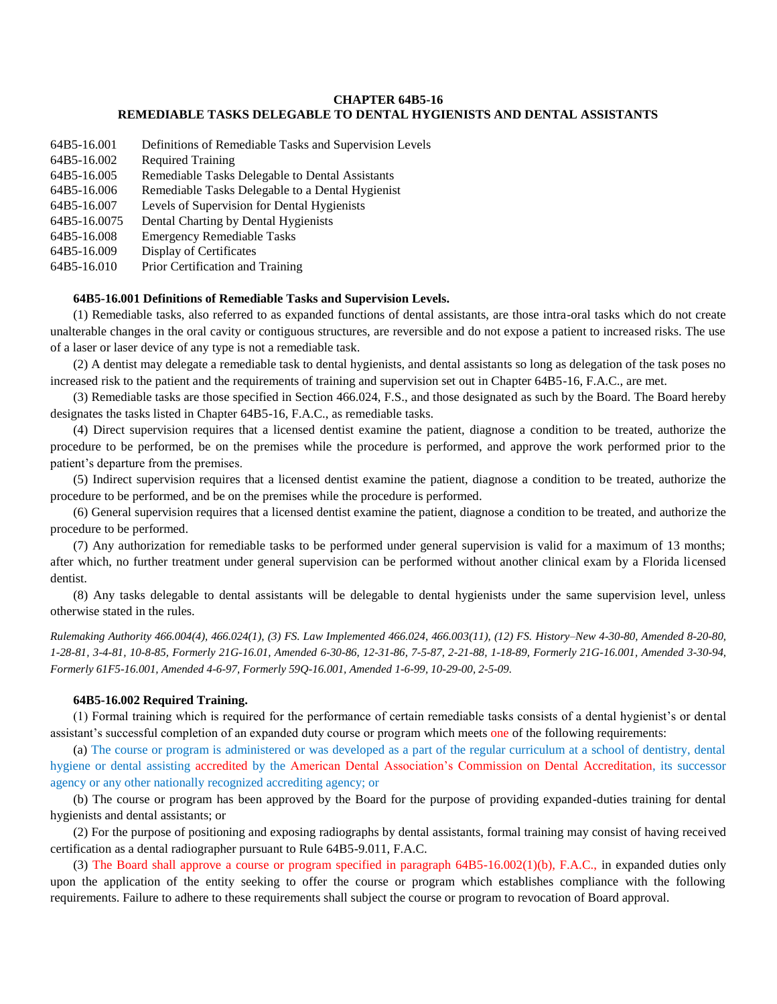# **CHAPTER 64B5-16 REMEDIABLE TASKS DELEGABLE TO DENTAL HYGIENISTS AND DENTAL ASSISTANTS**

| 64B5-16.001  | Definitions of Remediable Tasks and Supervision Levels |
|--------------|--------------------------------------------------------|
| 64B5-16.002  | <b>Required Training</b>                               |
| 64B5-16.005  | Remediable Tasks Delegable to Dental Assistants        |
| 64B5-16.006  | Remediable Tasks Delegable to a Dental Hygienist       |
| 64B5-16.007  | Levels of Supervision for Dental Hygienists            |
| 64B5-16.0075 | Dental Charting by Dental Hygienists                   |
| 64B5-16.008  | <b>Emergency Remediable Tasks</b>                      |
| 64B5-16.009  | Display of Certificates                                |
| 64B5-16.010  | Prior Certification and Training                       |

## **64B5-16.001 Definitions of Remediable Tasks and Supervision Levels.**

(1) Remediable tasks, also referred to as expanded functions of dental assistants, are those intra-oral tasks which do not create unalterable changes in the oral cavity or contiguous structures, are reversible and do not expose a patient to increased risks. The use of a laser or laser device of any type is not a remediable task.

(2) A dentist may delegate a remediable task to dental hygienists, and dental assistants so long as delegation of the task poses no increased risk to the patient and the requirements of training and supervision set out in Chapter 64B5-16, F.A.C., are met.

(3) Remediable tasks are those specified in Section 466.024, F.S., and those designated as such by the Board. The Board hereby designates the tasks listed in Chapter 64B5-16, F.A.C., as remediable tasks.

(4) Direct supervision requires that a licensed dentist examine the patient, diagnose a condition to be treated, authorize the procedure to be performed, be on the premises while the procedure is performed, and approve the work performed prior to the patient's departure from the premises.

(5) Indirect supervision requires that a licensed dentist examine the patient, diagnose a condition to be treated, authorize the procedure to be performed, and be on the premises while the procedure is performed.

(6) General supervision requires that a licensed dentist examine the patient, diagnose a condition to be treated, and authorize the procedure to be performed.

(7) Any authorization for remediable tasks to be performed under general supervision is valid for a maximum of 13 months; after which, no further treatment under general supervision can be performed without another clinical exam by a Florida licensed dentist.

(8) Any tasks delegable to dental assistants will be delegable to dental hygienists under the same supervision level, unless otherwise stated in the rules.

*Rulemaking Authority 466.004(4), 466.024(1), (3) FS. Law Implemented 466.024, 466.003(11), (12) FS. History–New 4-30-80, Amended 8-20-80, 1-28-81, 3-4-81, 10-8-85, Formerly 21G-16.01, Amended 6-30-86, 12-31-86, 7-5-87, 2-21-88, 1-18-89, Formerly 21G-16.001, Amended 3-30-94, Formerly 61F5-16.001, Amended 4-6-97, Formerly 59Q-16.001, Amended 1-6-99, 10-29-00, 2-5-09.*

#### **64B5-16.002 Required Training.**

(1) Formal training which is required for the performance of certain remediable tasks consists of a dental hygienist's or dental assistant's successful completion of an expanded duty course or program which meets one of the following requirements:

(a) The course or program is administered or was developed as a part of the regular curriculum at a school of dentistry, dental hygiene or dental assisting accredited by the American Dental Association's Commission on Dental Accreditation, its successor agency or any other nationally recognized accrediting agency; or

(b) The course or program has been approved by the Board for the purpose of providing expanded-duties training for dental hygienists and dental assistants; or

(2) For the purpose of positioning and exposing radiographs by dental assistants, formal training may consist of having received certification as a dental radiographer pursuant to Rule 64B5-9.011, F.A.C.

(3) The Board shall approve a course or program specified in paragraph 64B5-16.002(1)(b), F.A.C., in expanded duties only upon the application of the entity seeking to offer the course or program which establishes compliance with the following requirements. Failure to adhere to these requirements shall subject the course or program to revocation of Board approval.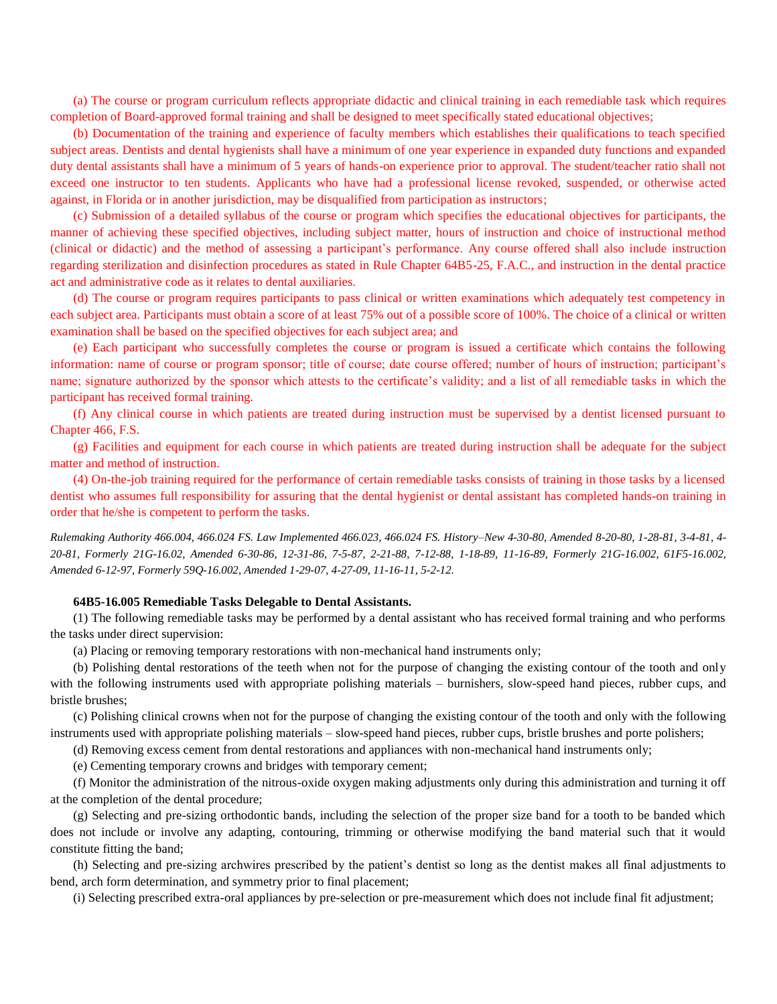(a) The course or program curriculum reflects appropriate didactic and clinical training in each remediable task which requires completion of Board-approved formal training and shall be designed to meet specifically stated educational objectives;

(b) Documentation of the training and experience of faculty members which establishes their qualifications to teach specified subject areas. Dentists and dental hygienists shall have a minimum of one year experience in expanded duty functions and expanded duty dental assistants shall have a minimum of 5 years of hands-on experience prior to approval. The student/teacher ratio shall not exceed one instructor to ten students. Applicants who have had a professional license revoked, suspended, or otherwise acted against, in Florida or in another jurisdiction, may be disqualified from participation as instructors;

(c) Submission of a detailed syllabus of the course or program which specifies the educational objectives for participants, the manner of achieving these specified objectives, including subject matter, hours of instruction and choice of instructional method (clinical or didactic) and the method of assessing a participant's performance. Any course offered shall also include instruction regarding sterilization and disinfection procedures as stated in Rule Chapter 64B5-25, F.A.C., and instruction in the dental practice act and administrative code as it relates to dental auxiliaries.

(d) The course or program requires participants to pass clinical or written examinations which adequately test competency in each subject area. Participants must obtain a score of at least 75% out of a possible score of 100%. The choice of a clinical or written examination shall be based on the specified objectives for each subject area; and

(e) Each participant who successfully completes the course or program is issued a certificate which contains the following information: name of course or program sponsor; title of course; date course offered; number of hours of instruction; participant's name; signature authorized by the sponsor which attests to the certificate's validity; and a list of all remediable tasks in which the participant has received formal training.

(f) Any clinical course in which patients are treated during instruction must be supervised by a dentist licensed pursuant to Chapter 466, F.S.

(g) Facilities and equipment for each course in which patients are treated during instruction shall be adequate for the subject matter and method of instruction.

(4) On-the-job training required for the performance of certain remediable tasks consists of training in those tasks by a licensed dentist who assumes full responsibility for assuring that the dental hygienist or dental assistant has completed hands-on training in order that he/she is competent to perform the tasks.

*Rulemaking Authority 466.004, 466.024 FS. Law Implemented 466.023, 466.024 FS. History–New 4-30-80, Amended 8-20-80, 1-28-81, 3-4-81, 4- 20-81, Formerly 21G-16.02, Amended 6-30-86, 12-31-86, 7-5-87, 2-21-88, 7-12-88, 1-18-89, 11-16-89, Formerly 21G-16.002, 61F5-16.002, Amended 6-12-97, Formerly 59Q-16.002, Amended 1-29-07, 4-27-09, 11-16-11, 5-2-12.*

#### **64B5-16.005 Remediable Tasks Delegable to Dental Assistants.**

(1) The following remediable tasks may be performed by a dental assistant who has received formal training and who performs the tasks under direct supervision:

(a) Placing or removing temporary restorations with non-mechanical hand instruments only;

(b) Polishing dental restorations of the teeth when not for the purpose of changing the existing contour of the tooth and only with the following instruments used with appropriate polishing materials – burnishers, slow-speed hand pieces, rubber cups, and bristle brushes;

(c) Polishing clinical crowns when not for the purpose of changing the existing contour of the tooth and only with the following instruments used with appropriate polishing materials – slow-speed hand pieces, rubber cups, bristle brushes and porte polishers;

(d) Removing excess cement from dental restorations and appliances with non-mechanical hand instruments only;

(e) Cementing temporary crowns and bridges with temporary cement;

(f) Monitor the administration of the nitrous-oxide oxygen making adjustments only during this administration and turning it off at the completion of the dental procedure;

(g) Selecting and pre-sizing orthodontic bands, including the selection of the proper size band for a tooth to be banded which does not include or involve any adapting, contouring, trimming or otherwise modifying the band material such that it would constitute fitting the band;

(h) Selecting and pre-sizing archwires prescribed by the patient's dentist so long as the dentist makes all final adjustments to bend, arch form determination, and symmetry prior to final placement;

(i) Selecting prescribed extra-oral appliances by pre-selection or pre-measurement which does not include final fit adjustment;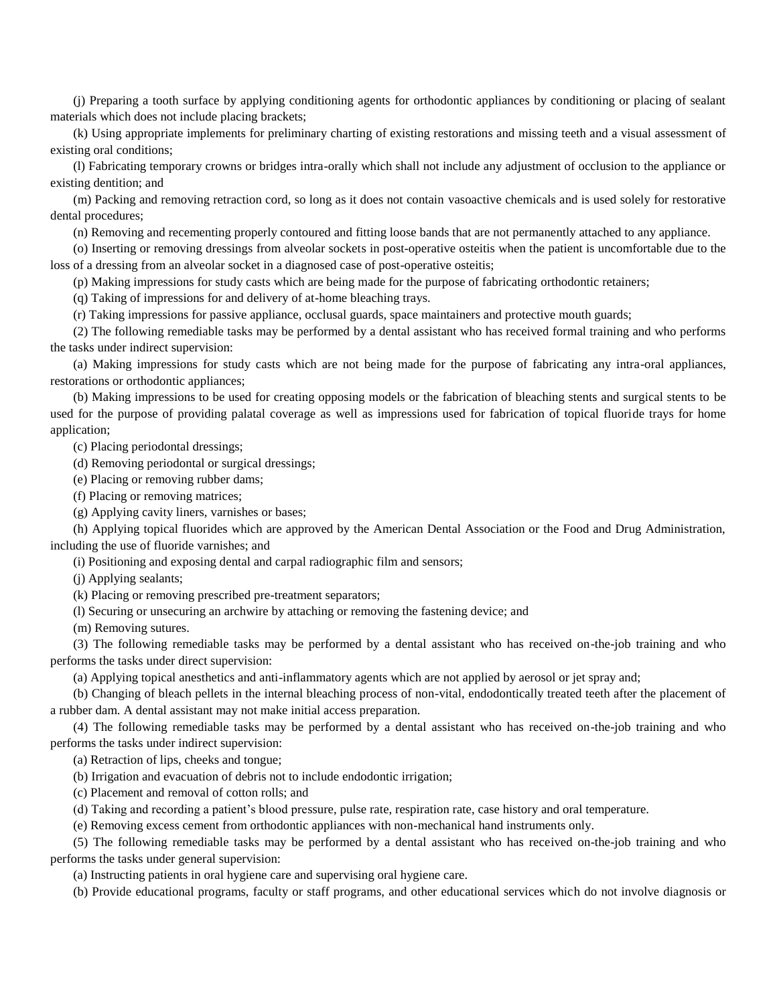(j) Preparing a tooth surface by applying conditioning agents for orthodontic appliances by conditioning or placing of sealant materials which does not include placing brackets;

(k) Using appropriate implements for preliminary charting of existing restorations and missing teeth and a visual assessment of existing oral conditions;

(l) Fabricating temporary crowns or bridges intra-orally which shall not include any adjustment of occlusion to the appliance or existing dentition; and

(m) Packing and removing retraction cord, so long as it does not contain vasoactive chemicals and is used solely for restorative dental procedures;

(n) Removing and recementing properly contoured and fitting loose bands that are not permanently attached to any appliance.

(o) Inserting or removing dressings from alveolar sockets in post-operative osteitis when the patient is uncomfortable due to the loss of a dressing from an alveolar socket in a diagnosed case of post-operative osteitis;

(p) Making impressions for study casts which are being made for the purpose of fabricating orthodontic retainers;

(q) Taking of impressions for and delivery of at-home bleaching trays.

(r) Taking impressions for passive appliance, occlusal guards, space maintainers and protective mouth guards;

(2) The following remediable tasks may be performed by a dental assistant who has received formal training and who performs the tasks under indirect supervision:

(a) Making impressions for study casts which are not being made for the purpose of fabricating any intra-oral appliances, restorations or orthodontic appliances;

(b) Making impressions to be used for creating opposing models or the fabrication of bleaching stents and surgical stents to be used for the purpose of providing palatal coverage as well as impressions used for fabrication of topical fluoride trays for home application;

(c) Placing periodontal dressings;

(d) Removing periodontal or surgical dressings;

(e) Placing or removing rubber dams;

(f) Placing or removing matrices;

(g) Applying cavity liners, varnishes or bases;

(h) Applying topical fluorides which are approved by the American Dental Association or the Food and Drug Administration, including the use of fluoride varnishes; and

(i) Positioning and exposing dental and carpal radiographic film and sensors;

(j) Applying sealants;

(k) Placing or removing prescribed pre-treatment separators;

(l) Securing or unsecuring an archwire by attaching or removing the fastening device; and

(m) Removing sutures.

(3) The following remediable tasks may be performed by a dental assistant who has received on-the-job training and who performs the tasks under direct supervision:

(a) Applying topical anesthetics and anti-inflammatory agents which are not applied by aerosol or jet spray and;

(b) Changing of bleach pellets in the internal bleaching process of non-vital, endodontically treated teeth after the placement of a rubber dam. A dental assistant may not make initial access preparation.

(4) The following remediable tasks may be performed by a dental assistant who has received on-the-job training and who performs the tasks under indirect supervision:

(a) Retraction of lips, cheeks and tongue;

(b) Irrigation and evacuation of debris not to include endodontic irrigation;

(c) Placement and removal of cotton rolls; and

(d) Taking and recording a patient's blood pressure, pulse rate, respiration rate, case history and oral temperature.

(e) Removing excess cement from orthodontic appliances with non-mechanical hand instruments only.

(5) The following remediable tasks may be performed by a dental assistant who has received on-the-job training and who performs the tasks under general supervision:

(a) Instructing patients in oral hygiene care and supervising oral hygiene care.

(b) Provide educational programs, faculty or staff programs, and other educational services which do not involve diagnosis or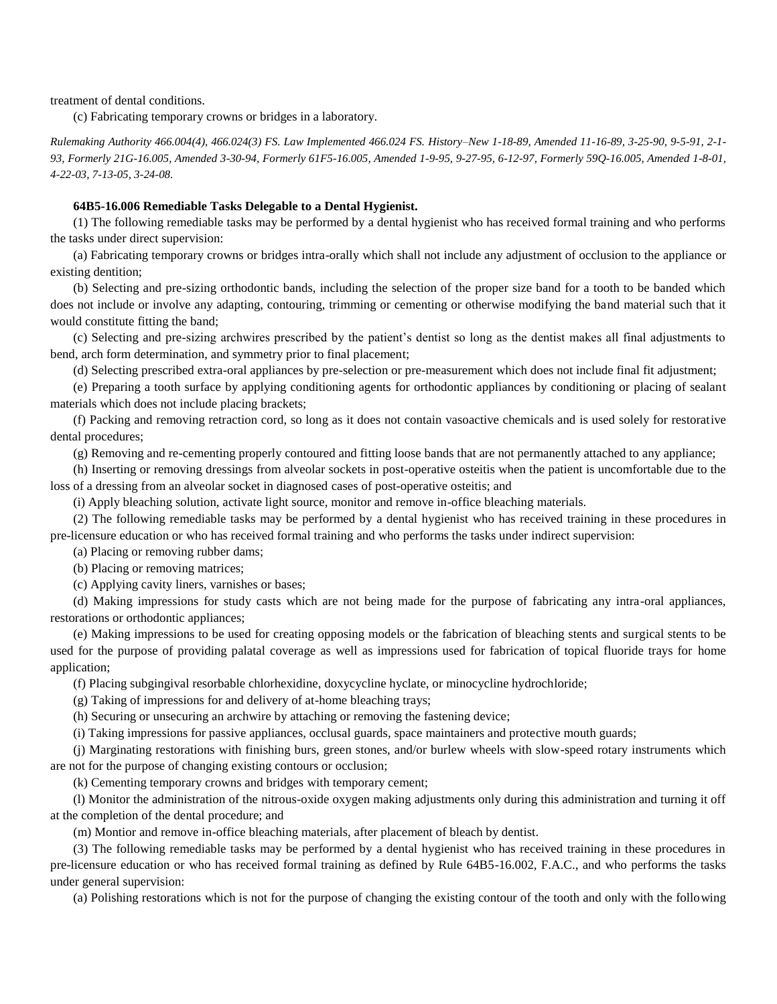treatment of dental conditions.

(c) Fabricating temporary crowns or bridges in a laboratory.

*Rulemaking Authority 466.004(4), 466.024(3) FS. Law Implemented 466.024 FS. History–New 1-18-89, Amended 11-16-89, 3-25-90, 9-5-91, 2-1- 93, Formerly 21G-16.005, Amended 3-30-94, Formerly 61F5-16.005, Amended 1-9-95, 9-27-95, 6-12-97, Formerly 59Q-16.005, Amended 1-8-01, 4-22-03, 7-13-05, 3-24-08.*

## **64B5-16.006 Remediable Tasks Delegable to a Dental Hygienist.**

(1) The following remediable tasks may be performed by a dental hygienist who has received formal training and who performs the tasks under direct supervision:

(a) Fabricating temporary crowns or bridges intra-orally which shall not include any adjustment of occlusion to the appliance or existing dentition;

(b) Selecting and pre-sizing orthodontic bands, including the selection of the proper size band for a tooth to be banded which does not include or involve any adapting, contouring, trimming or cementing or otherwise modifying the band material such that it would constitute fitting the band;

(c) Selecting and pre-sizing archwires prescribed by the patient's dentist so long as the dentist makes all final adjustments to bend, arch form determination, and symmetry prior to final placement;

(d) Selecting prescribed extra-oral appliances by pre-selection or pre-measurement which does not include final fit adjustment;

(e) Preparing a tooth surface by applying conditioning agents for orthodontic appliances by conditioning or placing of sealant materials which does not include placing brackets;

(f) Packing and removing retraction cord, so long as it does not contain vasoactive chemicals and is used solely for restorative dental procedures;

(g) Removing and re-cementing properly contoured and fitting loose bands that are not permanently attached to any appliance;

(h) Inserting or removing dressings from alveolar sockets in post-operative osteitis when the patient is uncomfortable due to the loss of a dressing from an alveolar socket in diagnosed cases of post-operative osteitis; and

(i) Apply bleaching solution, activate light source, monitor and remove in-office bleaching materials.

(2) The following remediable tasks may be performed by a dental hygienist who has received training in these procedures in pre-licensure education or who has received formal training and who performs the tasks under indirect supervision:

(a) Placing or removing rubber dams;

(b) Placing or removing matrices;

(c) Applying cavity liners, varnishes or bases;

(d) Making impressions for study casts which are not being made for the purpose of fabricating any intra-oral appliances, restorations or orthodontic appliances;

(e) Making impressions to be used for creating opposing models or the fabrication of bleaching stents and surgical stents to be used for the purpose of providing palatal coverage as well as impressions used for fabrication of topical fluoride trays for home application;

(f) Placing subgingival resorbable chlorhexidine, doxycycline hyclate, or minocycline hydrochloride;

(g) Taking of impressions for and delivery of at-home bleaching trays;

(h) Securing or unsecuring an archwire by attaching or removing the fastening device;

(i) Taking impressions for passive appliances, occlusal guards, space maintainers and protective mouth guards;

(j) Marginating restorations with finishing burs, green stones, and/or burlew wheels with slow-speed rotary instruments which are not for the purpose of changing existing contours or occlusion;

(k) Cementing temporary crowns and bridges with temporary cement;

(l) Monitor the administration of the nitrous-oxide oxygen making adjustments only during this administration and turning it off at the completion of the dental procedure; and

(m) Montior and remove in-office bleaching materials, after placement of bleach by dentist.

(3) The following remediable tasks may be performed by a dental hygienist who has received training in these procedures in pre-licensure education or who has received formal training as defined by Rule 64B5-16.002, F.A.C., and who performs the tasks under general supervision:

(a) Polishing restorations which is not for the purpose of changing the existing contour of the tooth and only with the following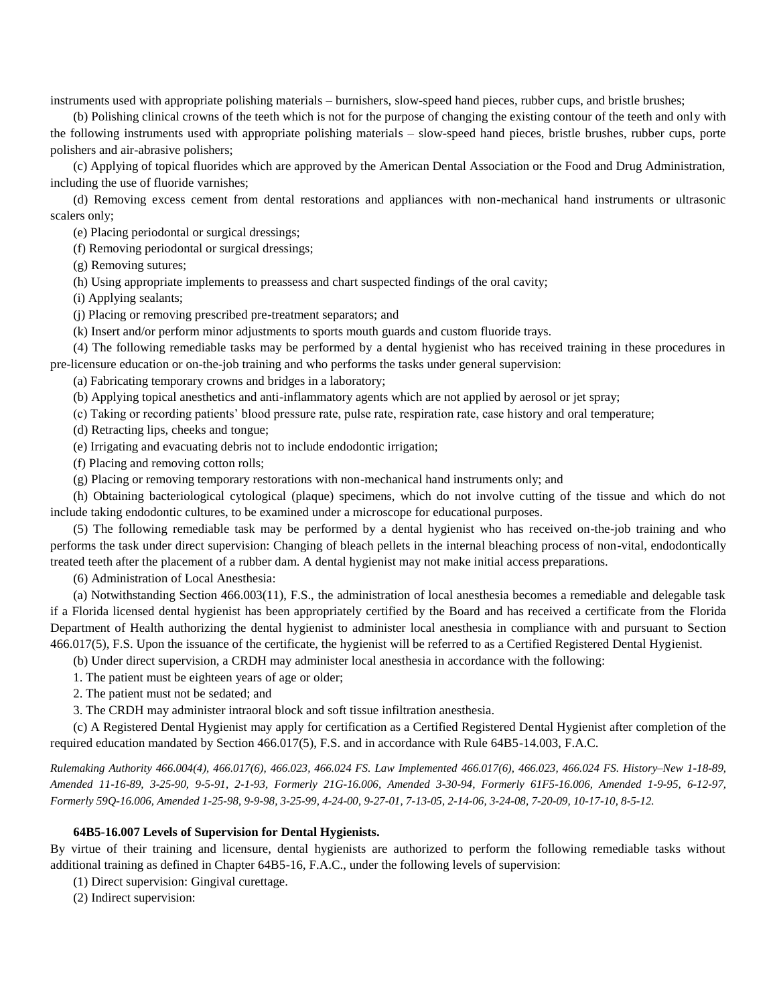instruments used with appropriate polishing materials – burnishers, slow-speed hand pieces, rubber cups, and bristle brushes;

(b) Polishing clinical crowns of the teeth which is not for the purpose of changing the existing contour of the teeth and only with the following instruments used with appropriate polishing materials – slow-speed hand pieces, bristle brushes, rubber cups, porte polishers and air-abrasive polishers;

(c) Applying of topical fluorides which are approved by the American Dental Association or the Food and Drug Administration, including the use of fluoride varnishes;

(d) Removing excess cement from dental restorations and appliances with non-mechanical hand instruments or ultrasonic scalers only;

(e) Placing periodontal or surgical dressings;

(f) Removing periodontal or surgical dressings;

(g) Removing sutures;

(h) Using appropriate implements to preassess and chart suspected findings of the oral cavity;

(i) Applying sealants;

(j) Placing or removing prescribed pre-treatment separators; and

(k) Insert and/or perform minor adjustments to sports mouth guards and custom fluoride trays.

(4) The following remediable tasks may be performed by a dental hygienist who has received training in these procedures in pre-licensure education or on-the-job training and who performs the tasks under general supervision:

(a) Fabricating temporary crowns and bridges in a laboratory;

(b) Applying topical anesthetics and anti-inflammatory agents which are not applied by aerosol or jet spray;

(c) Taking or recording patients' blood pressure rate, pulse rate, respiration rate, case history and oral temperature;

(d) Retracting lips, cheeks and tongue;

(e) Irrigating and evacuating debris not to include endodontic irrigation;

(f) Placing and removing cotton rolls;

(g) Placing or removing temporary restorations with non-mechanical hand instruments only; and

(h) Obtaining bacteriological cytological (plaque) specimens, which do not involve cutting of the tissue and which do not include taking endodontic cultures, to be examined under a microscope for educational purposes.

(5) The following remediable task may be performed by a dental hygienist who has received on-the-job training and who performs the task under direct supervision: Changing of bleach pellets in the internal bleaching process of non-vital, endodontically treated teeth after the placement of a rubber dam. A dental hygienist may not make initial access preparations.

(6) Administration of Local Anesthesia:

(a) Notwithstanding Section 466.003(11), F.S., the administration of local anesthesia becomes a remediable and delegable task if a Florida licensed dental hygienist has been appropriately certified by the Board and has received a certificate from the Florida Department of Health authorizing the dental hygienist to administer local anesthesia in compliance with and pursuant to Section 466.017(5), F.S. Upon the issuance of the certificate, the hygienist will be referred to as a Certified Registered Dental Hygienist.

(b) Under direct supervision, a CRDH may administer local anesthesia in accordance with the following:

1. The patient must be eighteen years of age or older;

2. The patient must not be sedated; and

3. The CRDH may administer intraoral block and soft tissue infiltration anesthesia.

(c) A Registered Dental Hygienist may apply for certification as a Certified Registered Dental Hygienist after completion of the required education mandated by Section 466.017(5), F.S. and in accordance with Rule 64B5-14.003, F.A.C.

*Rulemaking Authority 466.004(4), 466.017(6), 466.023, 466.024 FS. Law Implemented 466.017(6), 466.023, 466.024 FS. History–New 1-18-89, Amended 11-16-89, 3-25-90, 9-5-91, 2-1-93, Formerly 21G-16.006, Amended 3-30-94, Formerly 61F5-16.006, Amended 1-9-95, 6-12-97, Formerly 59Q-16.006, Amended 1-25-98, 9-9-98, 3-25-99, 4-24-00, 9-27-01, 7-13-05, 2-14-06, 3-24-08, 7-20-09, 10-17-10, 8-5-12.*

## **64B5-16.007 Levels of Supervision for Dental Hygienists.**

By virtue of their training and licensure, dental hygienists are authorized to perform the following remediable tasks without additional training as defined in Chapter 64B5-16, F.A.C., under the following levels of supervision:

(1) Direct supervision: Gingival curettage.

(2) Indirect supervision: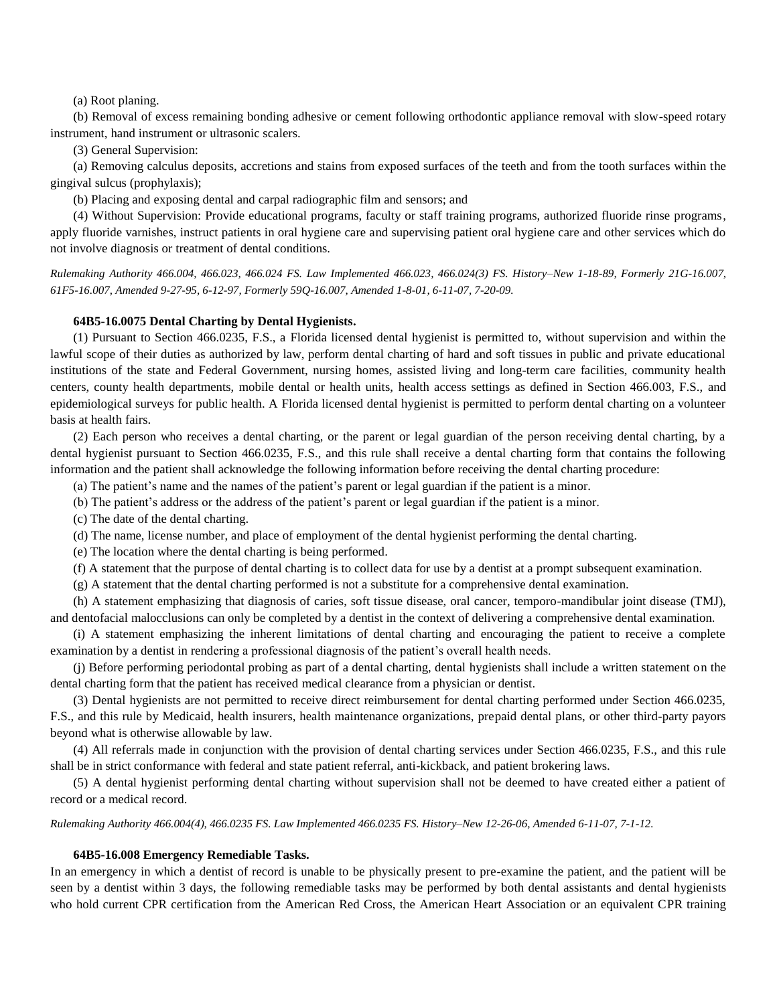(a) Root planing.

(b) Removal of excess remaining bonding adhesive or cement following orthodontic appliance removal with slow-speed rotary instrument, hand instrument or ultrasonic scalers.

(3) General Supervision:

(a) Removing calculus deposits, accretions and stains from exposed surfaces of the teeth and from the tooth surfaces within the gingival sulcus (prophylaxis);

(b) Placing and exposing dental and carpal radiographic film and sensors; and

(4) Without Supervision: Provide educational programs, faculty or staff training programs, authorized fluoride rinse programs, apply fluoride varnishes, instruct patients in oral hygiene care and supervising patient oral hygiene care and other services which do not involve diagnosis or treatment of dental conditions.

*Rulemaking Authority 466.004, 466.023, 466.024 FS. Law Implemented 466.023, 466.024(3) FS. History–New 1-18-89, Formerly 21G-16.007, 61F5-16.007, Amended 9-27-95, 6-12-97, Formerly 59Q-16.007, Amended 1-8-01, 6-11-07, 7-20-09.*

## **64B5-16.0075 Dental Charting by Dental Hygienists.**

(1) Pursuant to Section 466.0235, F.S., a Florida licensed dental hygienist is permitted to, without supervision and within the lawful scope of their duties as authorized by law, perform dental charting of hard and soft tissues in public and private educational institutions of the state and Federal Government, nursing homes, assisted living and long-term care facilities, community health centers, county health departments, mobile dental or health units, health access settings as defined in Section 466.003, F.S., and epidemiological surveys for public health. A Florida licensed dental hygienist is permitted to perform dental charting on a volunteer basis at health fairs.

(2) Each person who receives a dental charting, or the parent or legal guardian of the person receiving dental charting, by a dental hygienist pursuant to Section 466.0235, F.S., and this rule shall receive a dental charting form that contains the following information and the patient shall acknowledge the following information before receiving the dental charting procedure:

(a) The patient's name and the names of the patient's parent or legal guardian if the patient is a minor.

(b) The patient's address or the address of the patient's parent or legal guardian if the patient is a minor.

(c) The date of the dental charting.

(d) The name, license number, and place of employment of the dental hygienist performing the dental charting.

(e) The location where the dental charting is being performed.

(f) A statement that the purpose of dental charting is to collect data for use by a dentist at a prompt subsequent examination.

(g) A statement that the dental charting performed is not a substitute for a comprehensive dental examination.

(h) A statement emphasizing that diagnosis of caries, soft tissue disease, oral cancer, temporo-mandibular joint disease (TMJ), and dentofacial malocclusions can only be completed by a dentist in the context of delivering a comprehensive dental examination.

(i) A statement emphasizing the inherent limitations of dental charting and encouraging the patient to receive a complete examination by a dentist in rendering a professional diagnosis of the patient's overall health needs.

(j) Before performing periodontal probing as part of a dental charting, dental hygienists shall include a written statement on the dental charting form that the patient has received medical clearance from a physician or dentist.

(3) Dental hygienists are not permitted to receive direct reimbursement for dental charting performed under Section 466.0235, F.S., and this rule by Medicaid, health insurers, health maintenance organizations, prepaid dental plans, or other third-party payors beyond what is otherwise allowable by law.

(4) All referrals made in conjunction with the provision of dental charting services under Section 466.0235, F.S., and this rule shall be in strict conformance with federal and state patient referral, anti-kickback, and patient brokering laws.

(5) A dental hygienist performing dental charting without supervision shall not be deemed to have created either a patient of record or a medical record.

*Rulemaking Authority 466.004(4), 466.0235 FS. Law Implemented 466.0235 FS. History–New 12-26-06, Amended 6-11-07, 7-1-12.*

#### **64B5-16.008 Emergency Remediable Tasks.**

In an emergency in which a dentist of record is unable to be physically present to pre-examine the patient, and the patient will be seen by a dentist within 3 days, the following remediable tasks may be performed by both dental assistants and dental hygienists who hold current CPR certification from the American Red Cross, the American Heart Association or an equivalent CPR training